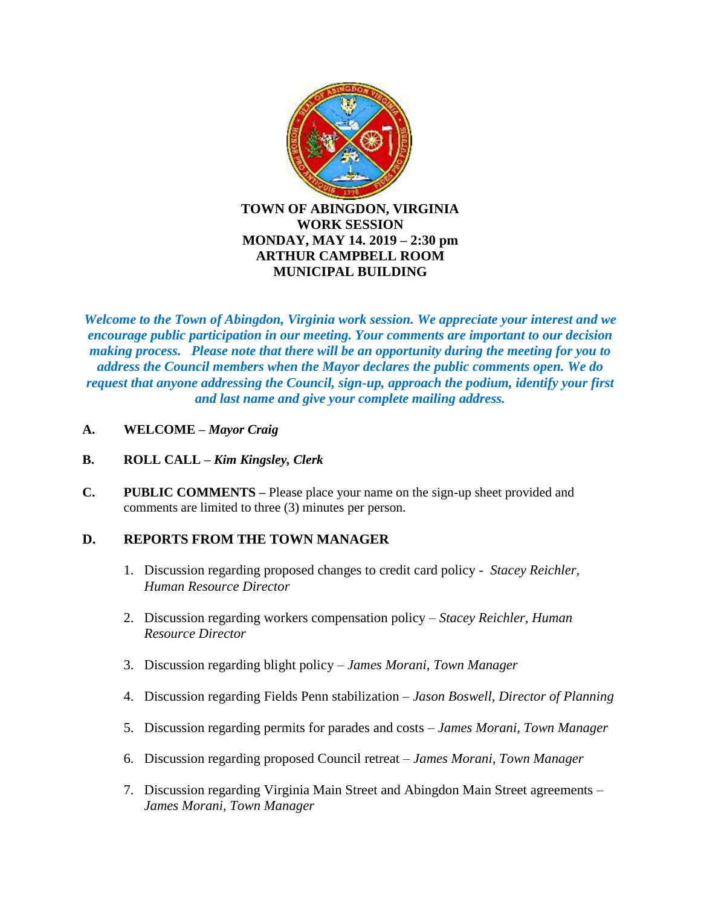

*Welcome to the Town of Abingdon, Virginia work session. We appreciate your interest and we encourage public participation in our meeting. Your comments are important to our decision making process. Please note that there will be an opportunity during the meeting for you to address the Council members when the Mayor declares the public comments open. We do request that anyone addressing the Council, sign-up, approach the podium, identify your first and last name and give your complete mailing address.*

- **A. WELCOME –** *Mayor Craig*
- **B. ROLL CALL –** *Kim Kingsley, Clerk*
- **C. PUBLIC COMMENTS –** Please place your name on the sign-up sheet provided and comments are limited to three (3) minutes per person.

## **D. REPORTS FROM THE TOWN MANAGER**

- 1. Discussion regarding proposed changes to credit card policy *Stacey Reichler, Human Resource Director*
- 2. Discussion regarding workers compensation policy *Stacey Reichler, Human Resource Director*
- 3. Discussion regarding blight policy *James Morani, Town Manager*
- 4. Discussion regarding Fields Penn stabilization *Jason Boswell, Director of Planning*
- 5. Discussion regarding permits for parades and costs *James Morani, Town Manager*
- 6. Discussion regarding proposed Council retreat *James Morani, Town Manager*
- 7. Discussion regarding Virginia Main Street and Abingdon Main Street agreements *James Morani, Town Manager*